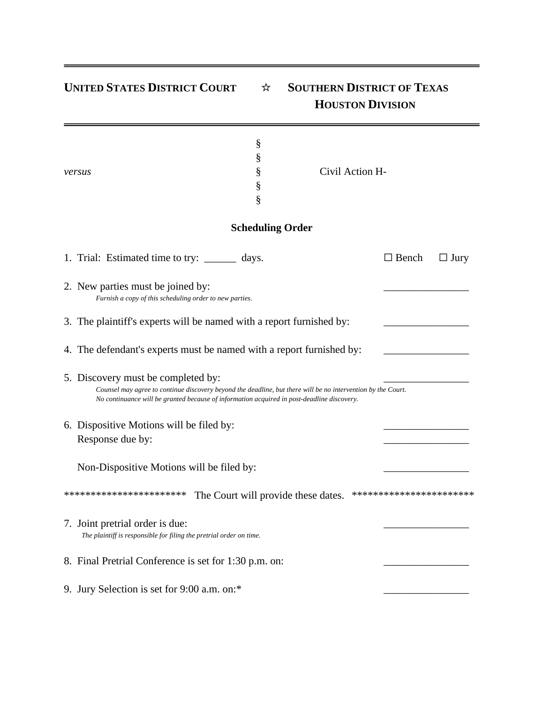## **UNITED STATES DISTRICT COURT** ☆ **SOUTHERN DISTRICT OF TEXAS HOUSTON DIVISION**

| versus                                                                                    | §<br>§<br>§<br>Civil Action H-<br>§<br>§                                                                                                                                                                                                         |              |             |
|-------------------------------------------------------------------------------------------|--------------------------------------------------------------------------------------------------------------------------------------------------------------------------------------------------------------------------------------------------|--------------|-------------|
|                                                                                           |                                                                                                                                                                                                                                                  |              |             |
| <b>Scheduling Order</b>                                                                   |                                                                                                                                                                                                                                                  |              |             |
|                                                                                           | 1. Trial: Estimated time to try: ________ days.                                                                                                                                                                                                  | $\Box$ Bench | $\Box$ Jury |
|                                                                                           | 2. New parties must be joined by:<br>Furnish a copy of this scheduling order to new parties.                                                                                                                                                     |              |             |
|                                                                                           | 3. The plaintiff's experts will be named with a report furnished by:                                                                                                                                                                             |              |             |
|                                                                                           | 4. The defendant's experts must be named with a report furnished by:                                                                                                                                                                             |              |             |
|                                                                                           | 5. Discovery must be completed by:<br>Counsel may agree to continue discovery beyond the deadline, but there will be no intervention by the Court.<br>No continuance will be granted because of information acquired in post-deadline discovery. |              |             |
|                                                                                           | 6. Dispositive Motions will be filed by:<br>Response due by:                                                                                                                                                                                     |              |             |
|                                                                                           | Non-Dispositive Motions will be filed by:                                                                                                                                                                                                        |              |             |
| ***********************<br>***********************<br>The Court will provide these dates. |                                                                                                                                                                                                                                                  |              |             |
|                                                                                           | 7. Joint pretrial order is due:<br>The plaintiff is responsible for filing the pretrial order on time.                                                                                                                                           |              |             |
|                                                                                           | 8. Final Pretrial Conference is set for 1:30 p.m. on:                                                                                                                                                                                            |              |             |
|                                                                                           | 9. Jury Selection is set for 9:00 a.m. on:*                                                                                                                                                                                                      |              |             |